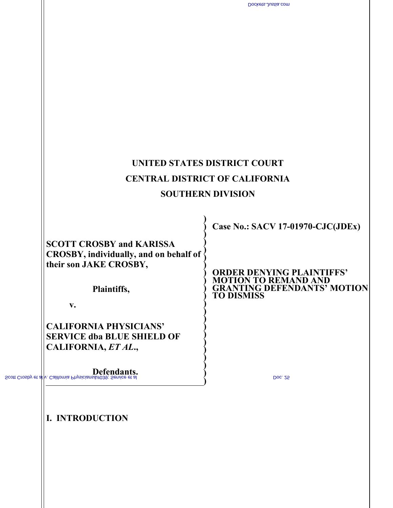|        | Dockets.Justia.com                                                                      |                                                                         |
|--------|-----------------------------------------------------------------------------------------|-------------------------------------------------------------------------|
|        |                                                                                         |                                                                         |
|        |                                                                                         |                                                                         |
|        |                                                                                         |                                                                         |
|        |                                                                                         |                                                                         |
| 2      |                                                                                         |                                                                         |
| 3      |                                                                                         |                                                                         |
| 4      |                                                                                         |                                                                         |
| 5      |                                                                                         |                                                                         |
| 6      |                                                                                         |                                                                         |
| 7      |                                                                                         |                                                                         |
| 8      | UNITED STATES DISTRICT COURT                                                            |                                                                         |
| 9      | <b>CENTRAL DISTRICT OF CALIFORNIA</b>                                                   |                                                                         |
| 10     | <b>SOUTHERN DIVISION</b>                                                                |                                                                         |
| 11     |                                                                                         |                                                                         |
| 12     |                                                                                         | <b>Case No.: SACV 17-01970-CJC(JDEx)</b>                                |
| 13     | <b>SCOTT CROSBY and KARISSA</b>                                                         |                                                                         |
| 14     | CROSBY, individually, and on behalf of                                                  |                                                                         |
| 15     | their son JAKE CROSBY,                                                                  | R DENYING PLAINTIFFS'                                                   |
| 16     | Plaintiffs,                                                                             | <b>N TO REMAND AND</b><br><b>GRANTING DEFENDANTS<sup>7</sup> MOTION</b> |
| 17     | $V_{\bullet}$                                                                           |                                                                         |
| 18     |                                                                                         |                                                                         |
| 19     | <b>CALIFORNIA PHYSICIANS'</b><br><b>SERVICE dba BLUE SHIELD OF</b>                      |                                                                         |
| $20\,$ | CALIFORNIA, ET AL.,                                                                     |                                                                         |
| 21     |                                                                                         |                                                                         |
|        | Defendants.<br>Scott Crosby et al v. California Physicians ' Service et al              | Doc. 25                                                                 |
| 23     |                                                                                         |                                                                         |
| 24     |                                                                                         |                                                                         |
| 25     | I. INTRODUCTION                                                                         |                                                                         |
| 26     | On September 6, 2017, Plaintiffs Scott Crosby and Karissa Crosby filed a                |                                                                         |
| 27     | complaint in the Superior Court for the County of Orange alleging four state law causes |                                                                         |
| 28     | of action against California Physicians' Service d.b.a. Blue Shield ("Blue Shield"),    |                                                                         |
|        |                                                                                         | $-1-$                                                                   |
|        |                                                                                         |                                                                         |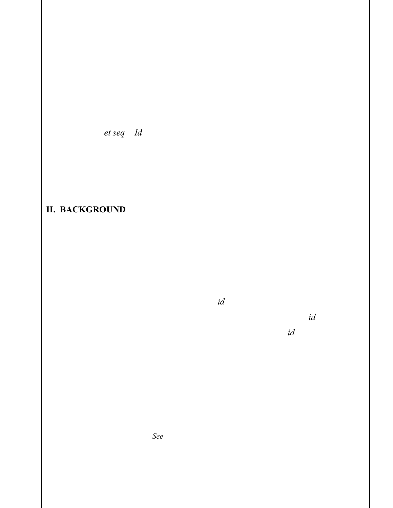1

2

3

4

5

Magellan Health, Inc, ("Magellan"), and Human Affairs International of California ("HAI-C"). (Dkt. 1-1 [hereinafter "Compl."].) On November 3, 2017, Blue Shield removed the case to this Court, citing federal question jurisdiction. (Dkt. 1 [Notice of Removal] ¶ 5.) More specifically, Blue Shield asserted that Plaintiffs' causes of action are preempted by the Employee Retirement Income Security Act of 1974 ("ERISA"), 29 U.S.C. §§ 1001 *et seq.* (*Id.* ¶ 12.) Before the Court is Plaintiff's motion to remand the case to Orange County Superior Court, (Dkt. 17 [hereinafter "Pl. Mot."]), and Defendant Blue Shield's motion to dismiss, (Dkt. 14 [hereinafter "Def. Mot."]).<sup>1</sup> Plaintiff's motion to remand is DENIED and Defendants' motion to dismiss is GRANTED.<sup>2</sup>

# II. BACKGROUND

Plaintiffs are insured under a California Association of Professional Employees Benefit Trust ("CAPE") plan<sup>3</sup>, covering both Scott, Karissa, and their son Jake Crosby through Scott Crosby's employment with the County of Los Angeles. (Notice of Removal  $\P$  10, 14; Compl.  $\P$  8.) CAPE is the "contractholder" of the plan, (Notice of Removal at 13), as well as the "plan sponsor,"  $(id.)$ . The contract states that it is "a Contract solely between Contractholder and Blue Shield of California," (id. at 11), and the plan is elsewhere described as "Contractholder's health plan," (id. at 10). Plaintiffs' health plan is not limited to County of Los Angeles employees, as the plan documents define "member" as "a County of Los Angeles employee or California Association of

<sup>&</sup>lt;sup>1</sup> Defendants HAI-C and Magellan have filed a motion for joinder to Blue Shield's motion to dismiss, (Dkt. 15), motion for joinder to Blue Shield's reply to Plaintiffs' opposition, (Dkt. 24), and motion for joinder to Blue Shield's opposition to Plaintiff's motion for remand, (Dkt. 21). The Court GRANTS Defendants' three motions for joinder.

<sup>&</sup>lt;sup>2</sup> Having read and considered the papers presented by the parties, the Court finds this matter appropriate for disposition without a hearing. See Fed. R. Civ. P. 78; Local Rule 7-15. Accordingly, the hearing set for January 29, 2018, at 1:30 p.m. is hereby vacated and off calendar.

<sup>&</sup>lt;sup>3</sup> Plaintiffs did not provide a copy of their plan with their Complaint. However, Blue Shield has submitted a copy of what they believe is the applicable Plan. (Notice of Removal Exs. 1, 2.) Plaintiffs

have not contested this, and refer to the policy attached to Blue Shield's notice of removal approvingly. (Pl. Mot. at 3.)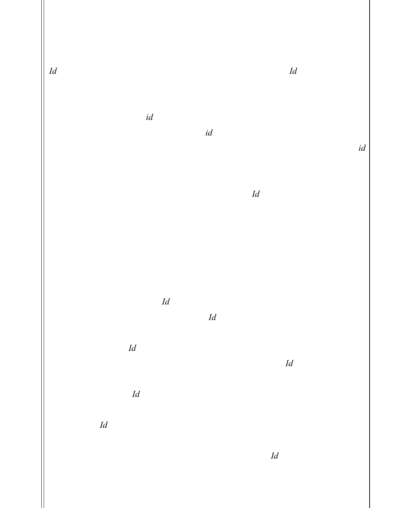Professional Employees employee eligible for health benefit offerings through [CAPE]." (*Id.* at 17.) The County of Los Angeles is defined as "employer." (*Id.*)

3

4

5

6

7

8

9

10

11

12

13

16

17

19

20

21

23

2

1

 As the plan sponsor and contractholder, CAPE is responsible for payment of monthly dues for the plan, *(id.* at 21), "may cancel [the] Contract at any time by written notice delivered or mailed to Blue Shield," (id. at 25), and is "solely responsible for the distribution of the [summary of benefits and coverage] for each benefit plan offered," *(id.*) at 29). The plan also specifies that "[i]f the Contractholder's Plan is governed by ERISA . . ., it is understood that Blue Shield is not the plan administrator for the purposes of ERISA. The plan administrator is the Contractholder." (Id. at 28.) Plaintiffs allege that Blue Shield contracts with a mental health services administrator, Magellan and HAI-C, to administer benefits. (Compl. ¶ 11.)

14 15 18 22 24 25 26 Jake, Scott and Karissa Crosby's minor son, is autistic and has received and continues to receive Applied Behavior Analysis ("ABA") therapy from Autism Spectrum Consultants ("ASC"), which is a provider that is contracted (or "in network") with Blue Shield, Magellan, and HAI-C. (Id.  $\P$  8-10.) Plaintiffs allege that Blue Shield is mandated to cover ABA by California law. (Id. ¶ 9.) Plaintiffs allege that in April 2017, Blue Shield sent them letters stating that coverage for ABA had been denied as not medically necessary. (Id. ¶ 12.) Magellan and HAI-C had initially determined that ABA therapy should be denied, and Blue Shield upheld their decision. (Id.) ASC then required Plaintiffs to contractually agree to pay for ABA to ensure that Jake continued to receive ABA therapy. (Id.) As a result of Blue Shield's denial of coverage, Plaintiffs "were forced to eliminate several ABA hours, and try to provide for some of [Jake's] care themselves." (Id.) After Blue Shield upheld Magellan and HAI-C's decision, Plaintiffs sought an Independent Medical Review ("IMR") through Blue Shield's regulator, the California Department of Managed Health Care ("DMHC"). (Id. at ¶ 13.F). As a result

28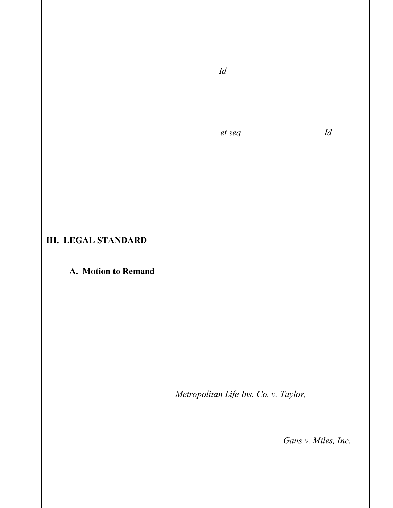of the IMR, the DMHC reversed Blue Shield's decision and ordered Blue Shield to authorize coverage for Jake's ABA treatment. (Id.)

 Plaintiffs bring four causes of action: (1) breach of the covenant of good faith and fair dealing, (2) intentional interference with contractual relations, (3) violations of Business and Professions Code Sections 17200, et seq., and (4) negligence. (Id.  $\P$  14– 36.) Plaintiffs seek "[d]amages for delay and denial of Blue Shield Policy benefits," consequential damages, damages for mental and emotional distress, punitive damages, injunctive relief, restitution, and attorneys' fees and costs. (Prayer for Relief  $\P$  1–17.) Plaintiffs are not seeking payment of plan benefits, "as the plan benefits were paid by order of the [DMHC] prior to this lawsuit." (Pl. Mot. at 5; Compl. ¶ 13F.)

## III. LEGAL STANDARD

### A. Motion to Remand

 A defendant may remove a civil action filed in state court to a federal district court if the federal court may exercise original jurisdiction over the action. 28 U.S.C. § 1441(b). A federal court can assert subject matter jurisdiction over cases that (1) involve questions arising under federal law or (2) are between diverse parties and involve an amount in controversy that exceeds \$75,000. 28 U.S.C. §§ 1331, 1332. A cause of action arises under federal law only when a federal question appears on the face of the plaintiff's well-pleaded complaint. Metropolitan Life Ins. Co. v. Taylor, 481 U.S. 58, 63 (1987). The defendant removing the action to federal court bears the burden of establishing that the district court has subject matter jurisdiction over the action, and the removal statute is strictly construed against removal jurisdiction. Gaus v. Miles, Inc., 980 F.2d 564, 566 (9th Cir. 1992) ("Federal jurisdiction must be rejected if there is any doubt as to the right of removal in the first instance."). If it appears that the district court lacks

1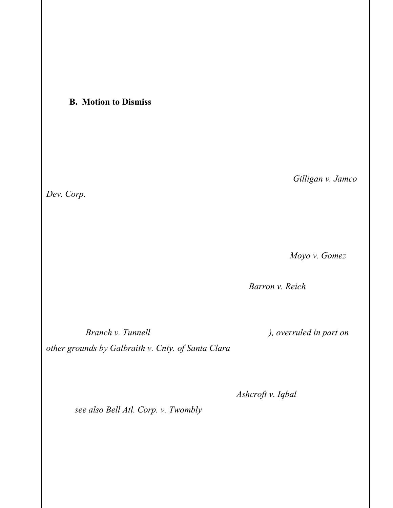subject matter jurisdiction at any time prior to the entry of final judgment, the district court must remand the action to state court. 28 U.S.C. § 1447(c).

## B. Motion to Dismiss

 A motion to dismiss under Federal Rule of Civil Procedure 12(b)(6) tests the legal sufficiency of the claims asserted in the complaint. The issue on a motion to dismiss for failure to state a claim is not whether the claimant will ultimately prevail, but whether the claimant is entitled to offer evidence to support the claims asserted. Gilligan v. Jamco Dev. Corp., 108 F.3d 246, 249 (9th Cir. 1997). Rule 12(b)(6) is read in conjunction with Rule 8(a), which requires only a short and plain statement of the claim showing that the pleader is entitled to relief. Fed. R. Civ. P.  $8(a)(2)$ . When evaluating a Rule 12(b)(6) motion, the district court must accept all material allegations in the complaint as true and construe them in the light most favorable to the non-moving party. Moyo v. Gomez, 32 F.3d 1382, 1384 (9th Cir. 1994). The district court may also consider additional facts in materials that the district court may take judicial notice, Barron v. Reich, 13 F.3d 1370, 1377 (9th Cir. 1994), as well as "documents whose contents are alleged in a complaint and whose authenticity no party questions, but which are not physically attached to the pleading," Branch v. Tunnell, 14 F.3d 449, 454 (9th Cir. 1994), overruled in part on other grounds by Galbraith v. Cnty. of Santa Clara, 307 F.3d 1119 (9th Cir. 2002).

 However, "the tenet that a court must accept as true all of the allegations contained in a complaint is inapplicable to legal conclusions." Ashcroft v. Iqbal, 556 U.S. 662, 678 (2009); see also Bell Atl. Corp. v. Twombly, 550 U.S. 544, 555 (2007) (stating that while a complaint attacked by a Rule 12(b)(6) motion to dismiss does not need detailed factual allegations, courts "are not bound to accept as true a legal conclusion couched as a factual allegation" (citations and quotes omitted)). Dismissal of a complaint for failure to state a claim is not proper where a plaintiff has alleged "enough facts to state a claim to relief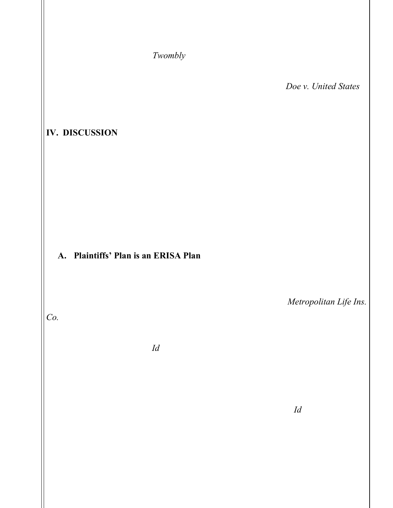that is plausible on its face." Twombly, 550 U.S. at 570. In keeping with this liberal pleading standard, the district court should grant the plaintiff leave to amend if the complaint can possibly be cured by additional factual allegations. Doe v. United States, 58 F.3d 494, 497 (9th Cir. 1995).

## IV. DISCUSSION

 The two substantive motions require the Court to resolve the related issue of whether the Plaintiffs' plan is governed by ERISA, which would then confer federal question jurisdiction, but may preempt some or all of Plaintiffs' asserted state law claims. For the reasons stated below, the Court finds that the plan at issue is governed by ERISA and Plaintiffs' four state law claims are preempted.

### A. Plaintiffs' Plan is an ERISA Plan

 Common law claims filed in state court that are preempted by ERISA are subject to removal to federal court under the well-pleaded complaint rule. Metropolitan Life Ins. Co., 481 U.S. at 67. This is because "Congress has clearly manifested an intent to make causes of action within the scope of the civil enforcement provision of [ERISA] removable to federal court." *Id.* at 66. Plaintiffs move to remand this case and argue that the Court lacks federal question jurisdiction to hear this suit because their plan is not an ERISA plan. (Pl. Mot.) Plaintiffs assert that their plan "is through Scott Crosby's employment as a fire fighter for the County of Los Angeles" and the plan "covers only governmental employees working for the County of Los Angeles." (Id. at 3.) The parties do not dispute that Plaintiffs' plan is an employee benefit plan. Defendants argue that the plan is neither created nor maintained by the County, thus it is not a governmental plan. (Opp. at 5–8.) The Court agrees.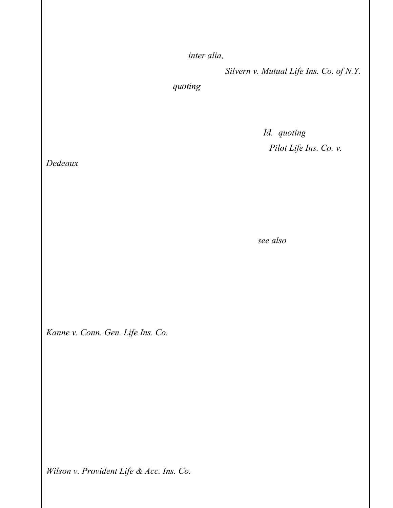"ERISA was enacted to protect, inter alia, 'the interests of participants in employee benefit plans and their beneficiaries."" Silvern v. Mutual Life Ins. Co. of N.Y., 884 F.2d 423, 425 (9th Cir. 1989) (quoting 29 U.S.C. § 1001(b)). "In order to provide the widest possible protection to all such plans, ERISA contains a preemption clause which states, in relevant part, that 'this chapter shall supersede any and all State laws insofar as they ... relate to any employee benefit plan . . ..'" Id. (quoting 29 U.S.C. § 1144(a)). This preemption clause is to be construed broadly. *Pilot Life Ins. Co. v.* Dedeaux, 481 U.S. 41, 45–46 (1987).

 While ERISA generally governs employee group health plans, ERISA does "not apply to any employee benefit plan if . . . such plan is a governmental plan[.]" 29 U.S.C. § 1003(b)(1). "The term 'governmental plan' means a plan established or maintained for its employees by the" government. 29 U.S.C. § 1002(32); see also 29 U.S.C. § 1002(32) (defining "governmental plan" as "a plan established or maintained for its employees by the Government of the United States, by the government of any State or political subdivision thereof, or by any agency or instrumentality of any of the foregoing"). "The existence of an ERISA plan is a question of fact, to be answered in light of all the surrounding facts and circumstances from the point of view of a reasonable person." Kanne v. Conn. Gen. Life Ins. Co., 867 F.2d 489, 492 (9th Cir. 1988). The parties dispute whether Plaintiffs' plan is a governmental plan.

 Plaintiffs' plan was not created by the County of Los Angeles. Rather, Plaintiff's plan was created by CAPE. CAPE is identified as the "contractholder" and the plan contract is "a Contract solely between Contractholder and Blue Shield." (Notice of Removal at 11, 13.) There is no evidence that the County played a direct role in the plan's creation. "Where unions of public employees enter insurance agreements that are not a result of collective bargaining, the plans may be found to be non-governmental." Wilson v. Provident Life & Acc. Ins. Co., 101 F. Supp. 3d 1038, 1044 (W.D. Wash. 2015)

1

-7-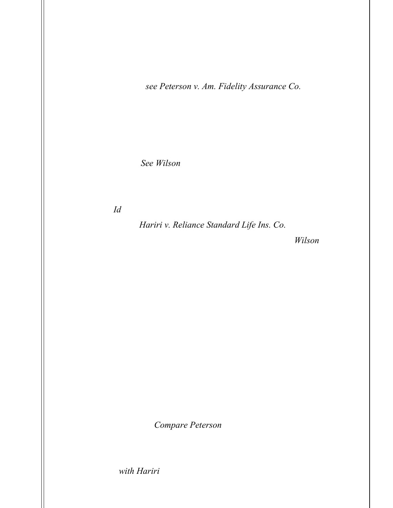1 2 3 4 5 6 7 8 9 10 11 12 13 14 15 16 17 (holding the plan was a non-governmental plan where the plan was a result of separate negotiation between the contractholder and the provider, the government "merely elected to participate in the Plan"); see Peterson v. Am. Fidelity Assurance Co., 2013 WL 6047183, at \* 4 (D. Nev. Nov. 13, 2013) (holding the plan was a non-governmental plan in part because the government entity "did not make any contributions to the Plan and the Plan was not required under any collective bargaining agreement"). Plaintiffs' plan membership is not limited to employees of the County of Los Angeles, but includes CAPE's own employees. See Wilson, 101 F. Supp. 3d at 1044 (noting the plan covered the union's employee "who presumably also made contributions"). CAPE is responsible for dues payments, and government funding of the plan does not transform it into a government plan. Id. (holding the plan was an ERISA plan despite the fact the plan received public funding); Hariri v. Reliance Standard Life Ins. Co., No. 5:15-CV-03054-EJD, 2017 WL 3422029, at \*4 (N.D. Cal. Aug. 9, 2017) (noting that Wilson rejected the argument that "public funding alone transformed" a plan into a "governmental plan). All of these plan characteristics indicate Plaintiffs' plan is not a government plan, and Plaintiff has provided no evidence to find otherwise.

 Neither does the County's involvement in the plan rise to the level of the County "maintaining" the plan. Rather, CAPE maintains the plan. There is no evidence that the County engages in any claims administration or communicates with members about plan coverage. The plan administrator is CAPE. (Notice of Removal at 28.) Defendants make benefits determinations and communicate those decisions to members. (Compl. ¶ 12.) CAPE is "solely responsible for the distribution of the [summary benefits and coverage] for each benefit plan offered." Thus, there is no evidence that Plaintiffs' plan is maintained by the County. Compare Peterson, 2013 WL 6047183, at \*4 (holding that the government did not "maintain" the plan even though it offered payroll deductions as a mechanism to pay dues and allowed the insurance company access to salary information and physical space) with Hariri, 2017 WL 3422029 at \*5 (holding that the while the

18

19

20

21

22

23

24

25

26

27

28

-8-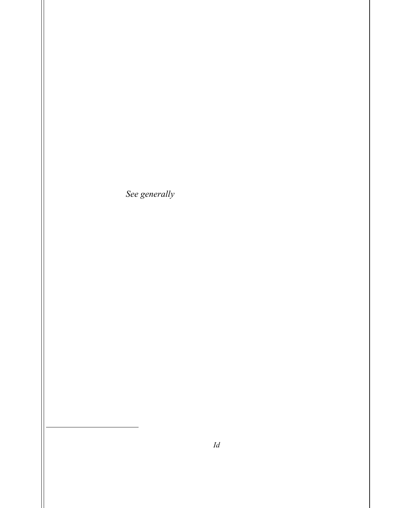//

//

//

//

 $\overline{a}$ 

County did not "create" the plan, the County "maintained" the plaintiff's plan where the plaintiff "presented evidence showing that the County continued to perform, without any interruption, all of the day-to-day administrative and claims processing activities," "received and distributed most of the [policy] certificates through its HR Department," "posted the [policy] certificate on the County's website," and "provided claim assistance and claim forms").

 Plaintiff's motion merely offers the fact that Scott Crosby is a County employee and the plan has County employee membership as evidence that the County "created or maintains" the plan. (See generally Pl. Mot.) In reply, Plaintiffs argue that their plan only covers government employees working for the County of Los Angeles, (Dkt. 22 at 3), but this argument is belied by the terms of the plan itself, which Plaintiffs do not contest.<sup>4</sup>

 The Court finds insufficient evidence to support the finding that the Plaintiffs' plan may be considered "established" or "maintained" by a government entity. Accordingly, Plaintiffs' plan is not a governmental plan. Plaintiff's plan is covered by ERISA and this Court has federal question jurisdiction over the Complaint. Thus, Plaintiff's motion to remand is DENIED.

<sup>4</sup> Plaintiffs argue that the plan does not state it is an ERISA policy or advise of ERISA rights, which

Plaintiffs assert "is necessary for an ERISA policy." *(Id.)* Plaintiffs also argue that Defendants have "failed to show any required IRS reports for the Plan . . . [as] required for an ERISA Plan." (Dkt. 22 at 3.) Plaintiffs provide no legal support for why these characteristics are required for the Court to find

their plan is covered by ERISA. In any event, Plaintiffs' plan includes a "Statement of ERISA Rights." (Notice of Removal at 91–93.)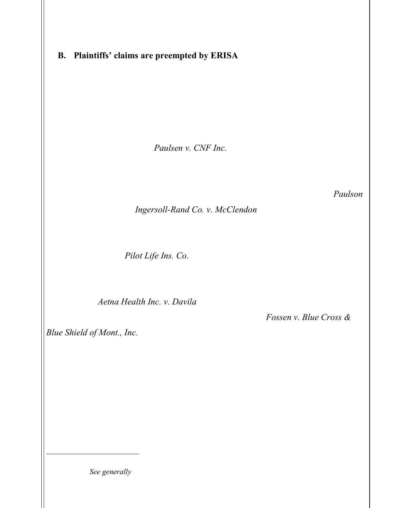### B. Plaintiffs' claims are preempted by ERISA

 Defendants move to dismiss Plaintiffs' claims as preempted by ERISA. "There are two strands of ERISA preemption: (1) 'express' preemption under ERISA § 514(a), 29 U.S.C. § 1144(a); and (2) preemption due to a 'conflict' with ERISA's exclusive remedial scheme set forth in 29 U.S.C. § 1132(a) [ERISA § 502], notwithstanding the lack of express preemption." Paulsen v. CNF Inc., 559 F.3d 1061, 1081 (9th Cir. 2009). ERISA § 514(a), 29 U.S.C. § 1155(a), expressly preempts "any and all State laws insofar as they may now or hereafter relate to any employee benefit plan . . .." A law relates to an employee benefit plan if it has a "connection with" or "reference to" a plan. Paulson, 559 F.3d at 1082 (citing Ingersoll-Rand Co. v. McClendon, 498 U.S. 133, 139 (1990)). Even where § 514(a) preemption does not exist, a state law claim may be superseded under § 502(a), 29 U.S.C. § 1132, which creates "a comprehensive civil enforcement scheme" for ERISA. Pilot Life Ins. Co., 481 U.S. at 54. "[A]ny state-law cause of action that duplicates, supplements, or supplants the ERISA civil enforcement remedy conflicts with the clear congressional intent to make the ERISA remedy exclusive and is therefore pre-empted." Aetna Health Inc. v. Davila, 542 U.S. 200, 209 (2004). Both of these provisions "defeat state-law causes of action on the merits." Fossen v. Blue Cross  $\&$ Blue Shield of Mont., Inc., 660 F.3d 1102, 1107 (9th Cir. 2011).

All of Plaintiffs' causes of action against Defendants are preempted by ERISA under  $\S 514(a)$ .<sup>5</sup> In determining whether there is "a connection" between a law and an employee benefit plan for purposes of § 514(a) preemption, a court must look "both to the objectives of the ERISA statute as a guide to the scope of the state law that Congress understood would survive as well as to the nature of the effect of the state law on ERISA

 $\overline{a}$ 

1

<sup>&</sup>lt;sup>5</sup> Plaintiffs do not address § 514(a) preemption in their briefing, but rather solely address § 502(a) preemption. (See generally Pl. Mot.; Dkts. 19 [Plaintiffs' Opposition to Def. Mot.], 22 [Plaintiffs' Reply to Pl. Mot.].)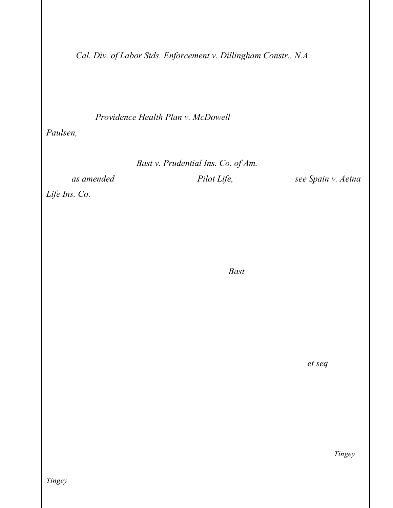1 2 3 4 5 6 7 8 9 10 11 12 13 14 15 16 plans." Cal. Div. of Labor Stds. Enforcement v. Dillingham Constr., N.A., 519 U.S. 316, 325 (1997) (internal quotation marks and citations omitted). The Ninth Circuit has employed a "relationship test," emphasizing "the genuine impact that the action has on a relationship governed by ERISA, such as the relationship between the plan and a participant." *Providence Health Plan v. McDowell*, 385 F.3d 1168, 1172 (9th Cir. 2004); Paulsen, 559 F.3d at 1082–1083. "ERISA preempts state common law tort and contract causes of action asserting improper processing of a claim for benefits under an insured employee benefit plan." Bast v. Prudential Ins. Co. of Am., 150 F.3d 1003, 1007 (9th Cir. 1998), as amended (Aug. 3, 1998) (citing Pilot Life, 481 U.S. at 57); see Spain v. Aetna Life Ins. Co., 11 F.3d 129, 131 (9th Cir. 1993) (holding that the plaintiff's wrongful death claim based on the insurer's improper withdrawal of authorization for the decedent's procedure causing his death was preempted as a "state common law cause of action seek[ing] damages for the negligent administration of benefit claims"). Similarly, the Ninth Circuit has held "that state law tort and contract claims as well as violations of a state insurance statute are preempted by ERISA." *Bast*, 150 F.3d at 1007 (citation omitted).

 Plaintiffs' causes of action arise out of Blue Shield's delayed payment of allegedly medically necessary ABA therapy for Jake Crosby. Plaintiffs' claims for breach of the covenant of good faith and fair dealing, intentional interference with contractual relations,<sup>6</sup> violations of Business and Professions Code Sections 17200, *et seq.*, and negligence will require the Court to interpret and enforce the terms of Plaintiffs' plan, and decide whether Blue Shield improperly denied coverage of ABA therapy. Thus, Plaintiffs' claims "relate to" the administration and enforcement of the plan, and are

26 27

17

18

19

20

21

22

23

24

25

l

<sup>6</sup> Plaintiffs argue that their intentional interference with contractual relations claim is "independent and the terms of an ERISA-governed plan are not implicated." (Dkt. 22 at 6.) However, like in Tingey, while this claim concerns Plaintiffs' relationship with a third party, ASC, it "spring[s] from the handling

28 and disposition of [Plaintiffs'] medical benefits insurance claim and thus are subject to preemption." Tingey, 953 F.2d at 1131.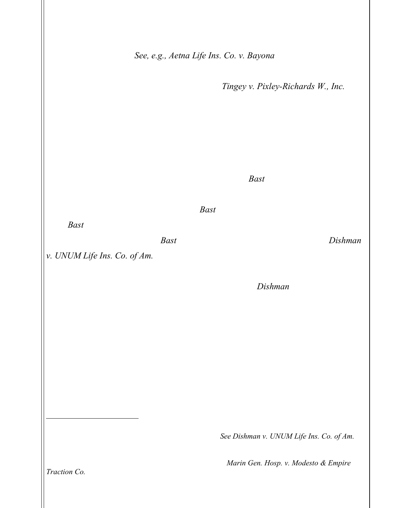preempted by § 514(a). See, e.g., Aetna Life Ins. Co. v. Bayona, 223 F.3d 1030, 1034 (9th Cir. 2000) (holding counterclaim for tortious breach of the covenant of good faith and fair dealing was preempted under  $\S 514(a)$ ; Tingey v. Pixley-Richards W., Inc., 953 F.2d 1124, 1131 (9th Cir. 1992) (holding plaintiffs' causes of action for intentional interference with a contract, breach of the duty of good faith and fair dealing, intentional infliction of emotional distress, and violations of the Arizona Insurance Code were preempted by ERISA).

 Plaintiffs attempt to distinguish their claims from Bast to argue that their "claims herein remain whether or not Defendants paid Plaintiffs' claims." (Dkt. 22. At 6.) However, the Ninth Circuit's reasoning in *Bast* plainly applies to the facts of this case. As in *Bast*, the harm Plaintiffs allegedly suffered arose from the insurer's failure to timely pay the benefit at issue. Bast, 150 F.3d at 1007. Unlike the plaintiff in Dishman v. UNUM Life Ins. Co. of Am., 269 F.3d 974, 983 (9th Cir. 2001), who sought damages for invasion of privacy based on the insurer's conduct during claim investigation, Plaintiffs' claims depend on the payment of benefits. The *Dishman* plaintiff allegedly suffered damages from conduct independent of whether or not he received his requested benefit. Plaintiffs' claims arose because of Blue Shield's initial denial of ABA therapy for Jake Crosby. The harm Plaintiffs' suffered was inextricably intertwined with Blue Shield's decision not to pay.

Accordingly,  $\S 514(a)$  bars Plaintiffs' state law claims.<sup>7</sup> The Court GRANTS Defendants' motion to dismiss Plaintiffs' Complaint.

 $\overline{a}$ 

 $<sup>7</sup>$  In support of their motion, Plaintiffs cite two cases, but the claims at issue in those cases were truly</sup> unrelated to the administration of ERISA plan benefits. See Dishman v. UNUM Life Ins. Co. of  $Am$ . 269 F.3d 974, 984 (9th Cir. 2001) (plaintiff's claim that the insurer tortuously invaded his privacy

during claim investigation had "only a peripheral impact on daily plan administration," thus the claim lacked "enough of a relationship to warrant preemption"); Marin Gen. Hosp. v. Modesto & Empire

Traction Co., 581 F.3d 941, 948 (9th Cir. 2009) (the plaintiff hospital's claim for money owed under an oral contract and the defendant "did not stem from the ERISA plan" and thus was not preempted).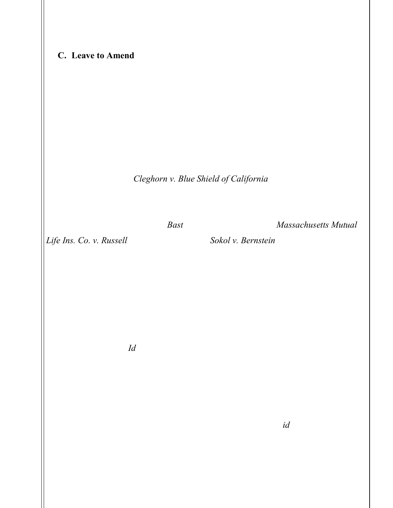#### C. Leave to Amend

 Plaintiffs request leave to amend so that Plaintiffs can "enforce their rights under the ERISA Plan." (Dkt. 19 at 5–6.) Defendants argue that Plaintiff seek only extracontractual damages that are unavailable under ERISA.

 "Section 502(a) of ERISA provides, among other things, that "[a] civil action may be brought . . . by a participant or beneficiary . . . to recover benefits due to him under the terms of his plan . . .." Cleghorn v. Blue Shield of California, 408 F.3d 1222, 1225 (9th Cir. 2005) (citing 29 U.S.C. § 1132(a)). Plaintiffs admit that they have received all benefits due under their contract. "Extracontractual, compensatory and punitive damages are not available under ERISA." Bast, 150 F.3d at 1009 (citing Massachusetts Mutual Life Ins. Co. v. Russell, 473 U.S. 134 (1985); Sokol v. Bernstein, 803 F.2d 532 (9th Cir. 1986) (holding that ERISA  $\S$  502(a)(3) does not allow for extracontractual damages, including damages for emotional distress)). Plaintiffs' claims are for "[d]amages for delay and denial of Blue Shield Policy benefits," consequential damages, damages for mental and emotional distress, punitive damages, injunctive relief, restitution, and attorneys' fees and costs. "These claims all seek extracontractual or compensatory damages which are not recoverable under ERISA. Thus, for these claims, ERISA provides no remedy." Id. The Court therefore DENIES Plaintiffs leave to amend on their claims for extracontractual damages.

 Plaintiffs argue that ERISA provides Plaintiffs "the ability to clarify rights to future benefits under the ERISA Plan," (Dkt. 19 at 6), and they allege that Defendants continue to preclude ABA benefits that are medically necessary,  $(id:$ ; Compl.  $\P\P$ 9–10, 30). Plaintiffs also argue that they can state a claim for an ERISA violation based on Defendants' failure to provide copies of records and documents utilized by Defendants in making decision not to authorize ABA, (Compl. ¶ 27E), which allegedly violates 29 CFR

-13-